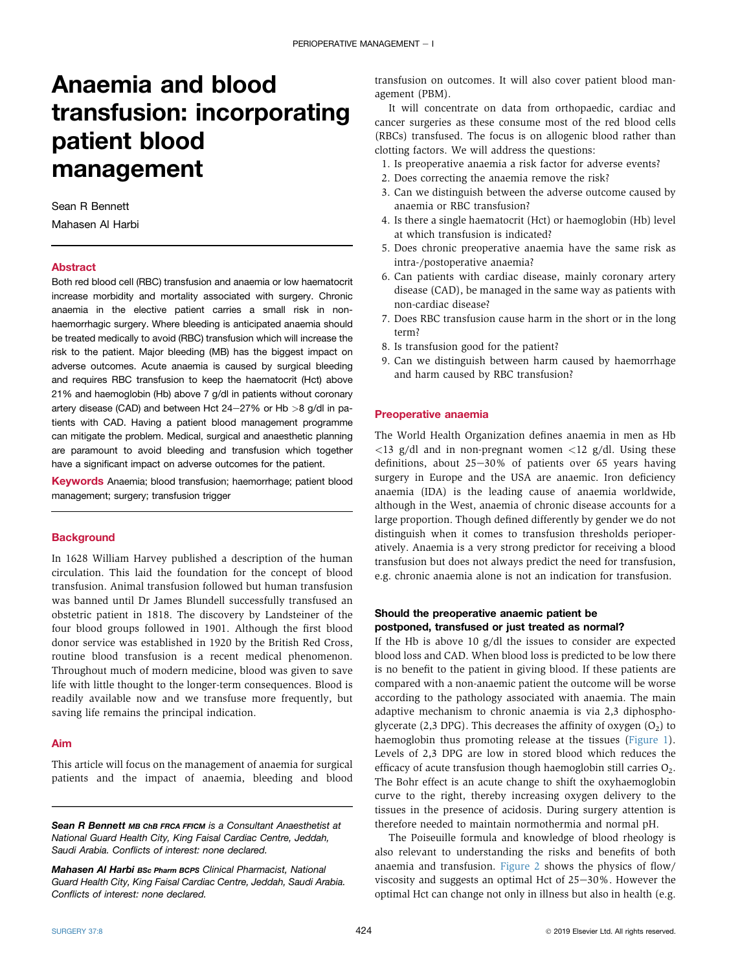# Anaemia and blood transfusion: incorporating patient blood management

## Sean R Bennett

Mahasen Al Harbi

#### Abstract

Both red blood cell (RBC) transfusion and anaemia or low haematocrit increase morbidity and mortality associated with surgery. Chronic anaemia in the elective patient carries a small risk in nonhaemorrhagic surgery. Where bleeding is anticipated anaemia should be treated medically to avoid (RBC) transfusion which will increase the risk to the patient. Major bleeding (MB) has the biggest impact on adverse outcomes. Acute anaemia is caused by surgical bleeding and requires RBC transfusion to keep the haematocrit (Hct) above 21% and haemoglobin (Hb) above 7 g/dl in patients without coronary artery disease (CAD) and between Hct 24-27% or Hb  $>8$  g/dl in patients with CAD. Having a patient blood management programme can mitigate the problem. Medical, surgical and anaesthetic planning are paramount to avoid bleeding and transfusion which together have a significant impact on adverse outcomes for the patient.

Keywords Anaemia; blood transfusion; haemorrhage; patient blood management; surgery; transfusion trigger

# **Background**

In 1628 William Harvey published a description of the human circulation. This laid the foundation for the concept of blood transfusion. Animal transfusion followed but human transfusion was banned until Dr James Blundell successfully transfused an obstetric patient in 1818. The discovery by Landsteiner of the four blood groups followed in 1901. Although the first blood donor service was established in 1920 by the British Red Cross, routine blood transfusion is a recent medical phenomenon. Throughout much of modern medicine, blood was given to save life with little thought to the longer-term consequences. Blood is readily available now and we transfuse more frequently, but saving life remains the principal indication.

#### Aim

This article will focus on the management of anaemia for surgical patients and the impact of anaemia, bleeding and blood

Mahasen Al Harbi BSc Pharm BCPS Clinical Pharmacist, National Guard Health City, King Faisal Cardiac Centre, Jeddah, Saudi Arabia. Conflicts of interest: none declared.

transfusion on outcomes. It will also cover patient blood management (PBM).

It will concentrate on data from orthopaedic, cardiac and cancer surgeries as these consume most of the red blood cells (RBCs) transfused. The focus is on allogenic blood rather than clotting factors. We will address the questions:

- 1. Is preoperative anaemia a risk factor for adverse events?
- 2. Does correcting the anaemia remove the risk?
- 3. Can we distinguish between the adverse outcome caused by anaemia or RBC transfusion?
- 4. Is there a single haematocrit (Hct) or haemoglobin (Hb) level at which transfusion is indicated?
- 5. Does chronic preoperative anaemia have the same risk as intra-/postoperative anaemia?
- 6. Can patients with cardiac disease, mainly coronary artery disease (CAD), be managed in the same way as patients with non-cardiac disease?
- 7. Does RBC transfusion cause harm in the short or in the long term?
- 8. Is transfusion good for the patient?
- 9. Can we distinguish between harm caused by haemorrhage and harm caused by RBC transfusion?

# Preoperative anaemia

The World Health Organization defines anaemia in men as Hb  $\langle 13 \text{ g/d} \rangle$  and in non-pregnant women  $\langle 12 \text{ g/d} \rangle$ . Using these definitions, about  $25-30\%$  of patients over 65 years having surgery in Europe and the USA are anaemic. Iron deficiency anaemia (IDA) is the leading cause of anaemia worldwide, although in the West, anaemia of chronic disease accounts for a large proportion. Though defined differently by gender we do not distinguish when it comes to transfusion thresholds perioperatively. Anaemia is a very strong predictor for receiving a blood transfusion but does not always predict the need for transfusion, e.g. chronic anaemia alone is not an indication for transfusion.

# Should the preoperative anaemic patient be postponed, transfused or just treated as normal?

If the Hb is above 10 g/dl the issues to consider are expected blood loss and CAD. When blood loss is predicted to be low there is no benefit to the patient in giving blood. If these patients are compared with a non-anaemic patient the outcome will be worse according to the pathology associated with anaemia. The main adaptive mechanism to chronic anaemia is via 2,3 diphosphoglycerate (2,3 DPG). This decreases the affinity of oxygen  $(O_2)$  to haemoglobin thus promoting release at the tissues ([Figure 1](#page-1-0)). Levels of 2,3 DPG are low in stored blood which reduces the efficacy of acute transfusion though haemoglobin still carries  $O<sub>2</sub>$ . The Bohr effect is an acute change to shift the oxyhaemoglobin curve to the right, thereby increasing oxygen delivery to the tissues in the presence of acidosis. During surgery attention is therefore needed to maintain normothermia and normal pH.

The Poiseuille formula and knowledge of blood rheology is also relevant to understanding the risks and benefits of both anaemia and transfusion. [Figure 2](#page-2-0) shows the physics of flow/ viscosity and suggests an optimal Hct of  $25-30\%$ . However the optimal Hct can change not only in illness but also in health (e.g.

Sean R Bennett MB ChB FRCA FFICM is a Consultant Anaesthetist at National Guard Health City, King Faisal Cardiac Centre, Jeddah, Saudi Arabia. Conflicts of interest: none declared.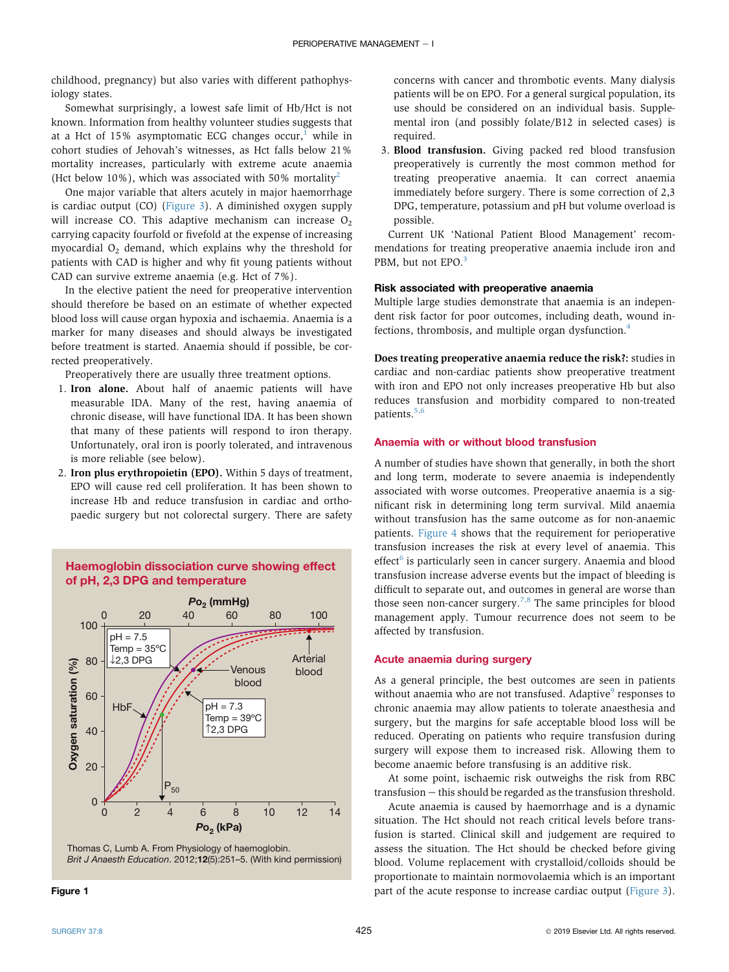<span id="page-1-0"></span>childhood, pregnancy) but also varies with different pathophysiology states.

Somewhat surprisingly, a lowest safe limit of Hb/Hct is not known. Information from healthy volunteer studies suggests that at a Hct of [1](#page-6-0)5% asymptomatic ECG changes occur,<sup>1</sup> while in cohort studies of Jehovah's witnesses, as Hct falls below 21% mortality increases, particularly with extreme acute anaemia (Hct below 10%), which was associated with 50% mortality<sup>[2](#page-6-0)</sup>

One major variable that alters acutely in major haemorrhage is cardiac output (CO) [\(Figure 3](#page-2-0)). A diminished oxygen supply will increase CO. This adaptive mechanism can increase  $O<sub>2</sub>$ carrying capacity fourfold or fivefold at the expense of increasing myocardial  $O<sub>2</sub>$  demand, which explains why the threshold for patients with CAD is higher and why fit young patients without CAD can survive extreme anaemia (e.g. Hct of 7%).

In the elective patient the need for preoperative intervention should therefore be based on an estimate of whether expected blood loss will cause organ hypoxia and ischaemia. Anaemia is a marker for many diseases and should always be investigated before treatment is started. Anaemia should if possible, be corrected preoperatively.

Preoperatively there are usually three treatment options.

- 1. Iron alone. About half of anaemic patients will have measurable IDA. Many of the rest, having anaemia of chronic disease, will have functional IDA. It has been shown that many of these patients will respond to iron therapy. Unfortunately, oral iron is poorly tolerated, and intravenous is more reliable (see below).
- 2. Iron plus erythropoietin (EPO). Within 5 days of treatment, EPO will cause red cell proliferation. It has been shown to increase Hb and reduce transfusion in cardiac and orthopaedic surgery but not colorectal surgery. There are safety





concerns with cancer and thrombotic events. Many dialysis patients will be on EPO. For a general surgical population, its use should be considered on an individual basis. Supplemental iron (and possibly folate/B12 in selected cases) is required.

3. Blood transfusion. Giving packed red blood transfusion preoperatively is currently the most common method for treating preoperative anaemia. It can correct anaemia immediately before surgery. There is some correction of 2,3 DPG, temperature, potassium and pH but volume overload is possible.

Current UK 'National Patient Blood Management' recommendations for treating preoperative anaemia include iron and PBM, but not EPO.<sup>[3](#page-6-0)</sup>

# Risk associated with preoperative anaemia

Multiple large studies demonstrate that anaemia is an independent risk factor for poor outcomes, including death, wound infections, thrombosis, and multiple organ dysfunction.[4](#page-6-0)

Does treating preoperative anaemia reduce the risk?: studies in cardiac and non-cardiac patients show preoperative treatment with iron and EPO not only increases preoperative Hb but also reduces transfusion and morbidity compared to non-treated patients.<sup>[5,6](#page-6-0)</sup>

# Anaemia with or without blood transfusion

A number of studies have shown that generally, in both the short and long term, moderate to severe anaemia is independently associated with worse outcomes. Preoperative anaemia is a significant risk in determining long term survival. Mild anaemia without transfusion has the same outcome as for non-anaemic patients. [Figure 4](#page-3-0) shows that the requirement for perioperative transfusion increases the risk at every level of anaemia. This  $effect<sup>6</sup>$  $effect<sup>6</sup>$  $effect<sup>6</sup>$  is particularly seen in cancer surgery. Anaemia and blood transfusion increase adverse events but the impact of bleeding is difficult to separate out, and outcomes in general are worse than those seen non-cancer surgery.<sup>[7,8](#page-6-0)</sup> The same principles for blood management apply. Tumour recurrence does not seem to be affected by transfusion.

## Acute anaemia during surgery

As a general principle, the best outcomes are seen in patients without anaemia who are not transfused. Adaptive<sup>[9](#page-6-0)</sup> responses to chronic anaemia may allow patients to tolerate anaesthesia and surgery, but the margins for safe acceptable blood loss will be reduced. Operating on patients who require transfusion during surgery will expose them to increased risk. Allowing them to become anaemic before transfusing is an additive risk.

At some point, ischaemic risk outweighs the risk from RBC  $transfusion - this should be regarded as the transition threshold.$ 

Acute anaemia is caused by haemorrhage and is a dynamic situation. The Hct should not reach critical levels before transfusion is started. Clinical skill and judgement are required to assess the situation. The Hct should be checked before giving blood. Volume replacement with crystalloid/colloids should be proportionate to maintain normovolaemia which is an important part of the acute response to increase cardiac output ([Figure 3](#page-2-0)).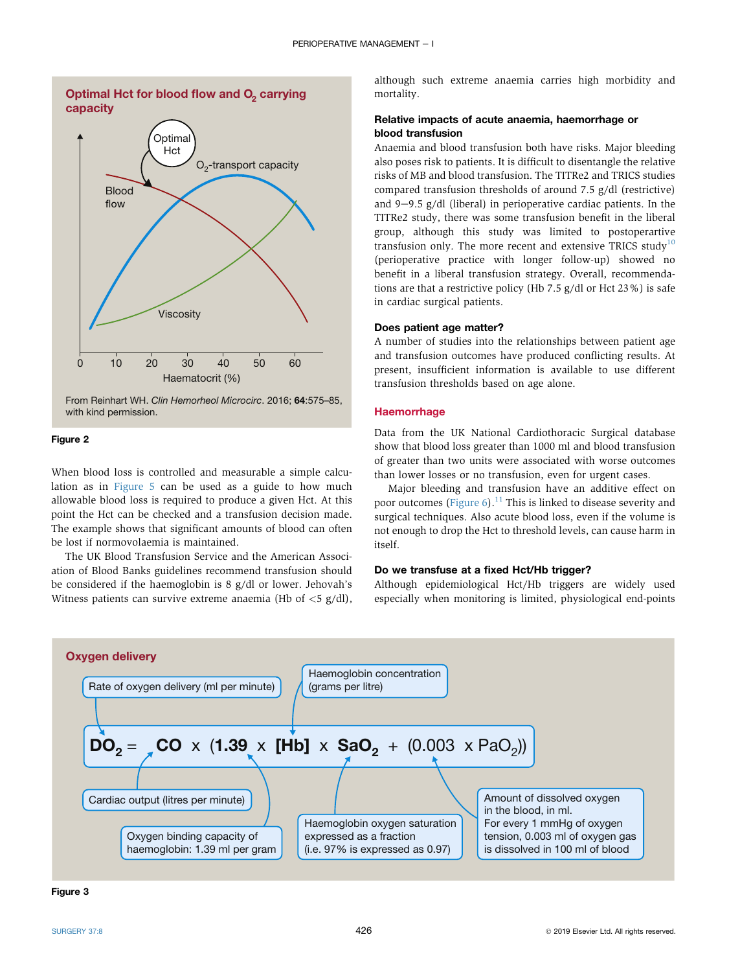<span id="page-2-0"></span>

# Figure 2

When blood loss is controlled and measurable a simple calculation as in [Figure 5](#page-3-0) can be used as a guide to how much allowable blood loss is required to produce a given Hct. At this point the Hct can be checked and a transfusion decision made. The example shows that significant amounts of blood can often be lost if normovolaemia is maintained.

The UK Blood Transfusion Service and the American Association of Blood Banks guidelines recommend transfusion should be considered if the haemoglobin is 8 g/dl or lower. Jehovah's Witness patients can survive extreme anaemia (Hb of  $\langle 5 \text{ g/dl} \rangle$ , although such extreme anaemia carries high morbidity and mortality.

# Relative impacts of acute anaemia, haemorrhage or blood transfusion

Anaemia and blood transfusion both have risks. Major bleeding also poses risk to patients. It is difficult to disentangle the relative risks of MB and blood transfusion. The TITRe2 and TRICS studies compared transfusion thresholds of around 7.5 g/dl (restrictive) and  $9-9.5$  g/dl (liberal) in perioperative cardiac patients. In the TITRe2 study, there was some transfusion benefit in the liberal group, although this study was limited to postoperartive transfusion only. The more recent and extensive TRICS study $10$ (perioperative practice with longer follow-up) showed no benefit in a liberal transfusion strategy. Overall, recommendations are that a restrictive policy (Hb 7.5 g/dl or Hct 23%) is safe in cardiac surgical patients.

#### Does patient age matter?

A number of studies into the relationships between patient age and transfusion outcomes have produced conflicting results. At present, insufficient information is available to use different transfusion thresholds based on age alone.

# **Haemorrhage**

Data from the UK National Cardiothoracic Surgical database show that blood loss greater than 1000 ml and blood transfusion of greater than two units were associated with worse outcomes than lower losses or no transfusion, even for urgent cases.

Major bleeding and transfusion have an additive effect on poor outcomes ([Figure 6](#page-4-0)).<sup>[11](#page-6-0)</sup> This is linked to disease severity and surgical techniques. Also acute blood loss, even if the volume is not enough to drop the Hct to threshold levels, can cause harm in itself.

# Do we transfuse at a fixed Hct/Hb trigger?

Although epidemiological Hct/Hb triggers are widely used especially when monitoring is limited, physiological end-points



Figure 3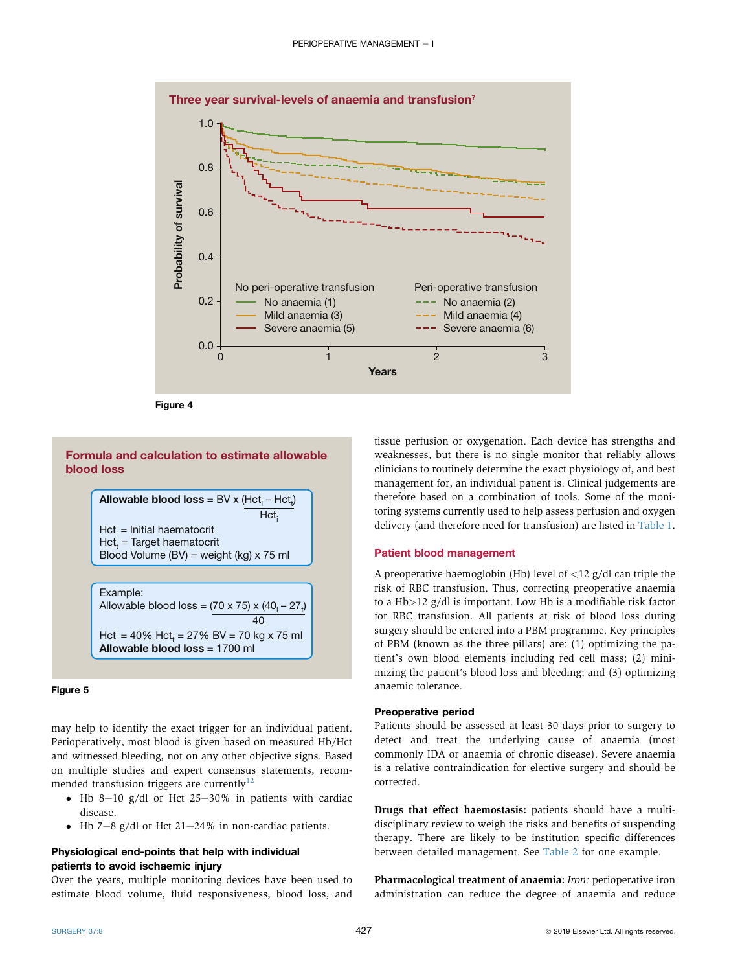<span id="page-3-0"></span>

Figure 4

# **Formula and calculation to estimate allowable blood loss**

 $\boldsymbol{\mathsf{Allowable~blood~loss}} = \mathsf{BV} \times (\mathsf{Hct}_\mathsf{i} - \mathsf{Hct}_\mathsf{i})$ Hct<sub>i</sub> = Initial haematocrit Hct<sub>t</sub> = Target haematocrit Blood Volume (BV) = weight (kg) x 75 ml Hct. Example: Allowable blood loss = (70 x 75) x (40<sub>i</sub> – 27<sub>t</sub>)

 $Hct_{i} = 40\%$   $Hct_{t} = 27\%$  BV = 70 kg x 75 ml **Allowable blood loss** = 1700 ml  $40<sub>i</sub>$ 

## Figure 5

may help to identify the exact trigger for an individual patient. Perioperatively, most blood is given based on measured Hb/Hct and witnessed bleeding, not on any other objective signs. Based on multiple studies and expert consensus statements, recom-mended transfusion triggers are currently<sup>[12](#page-6-0)</sup>

- $\bullet$  Hb 8-10 g/dl or Hct 25-30% in patients with cardiac disease.
- $\bullet$  Hb 7-8 g/dl or Hct 21-24% in non-cardiac patients.

# Physiological end-points that help with individual patients to avoid ischaemic injury

Over the years, multiple monitoring devices have been used to estimate blood volume, fluid responsiveness, blood loss, and tissue perfusion or oxygenation. Each device has strengths and weaknesses, but there is no single monitor that reliably allows clinicians to routinely determine the exact physiology of, and best management for, an individual patient is. Clinical judgements are therefore based on a combination of tools. Some of the monitoring systems currently used to help assess perfusion and oxygen delivery (and therefore need for transfusion) are listed in [Table 1](#page-4-0).

#### Patient blood management

A preoperative haemoglobin (Hb) level of  $\langle 12 \rangle$  g/dl can triple the risk of RBC transfusion. Thus, correcting preoperative anaemia to a Hb>12 g/dl is important. Low Hb is a modifiable risk factor for RBC transfusion. All patients at risk of blood loss during surgery should be entered into a PBM programme. Key principles of PBM (known as the three pillars) are: (1) optimizing the patient's own blood elements including red cell mass; (2) minimizing the patient's blood loss and bleeding; and (3) optimizing anaemic tolerance.

### Preoperative period

Patients should be assessed at least 30 days prior to surgery to detect and treat the underlying cause of anaemia (most commonly IDA or anaemia of chronic disease). Severe anaemia is a relative contraindication for elective surgery and should be corrected.

Drugs that effect haemostasis: patients should have a multidisciplinary review to weigh the risks and benefits of suspending therapy. There are likely to be institution specific differences between detailed management. See [Table 2](#page-5-0) for one example.

Pharmacological treatment of anaemia: Iron: perioperative iron administration can reduce the degree of anaemia and reduce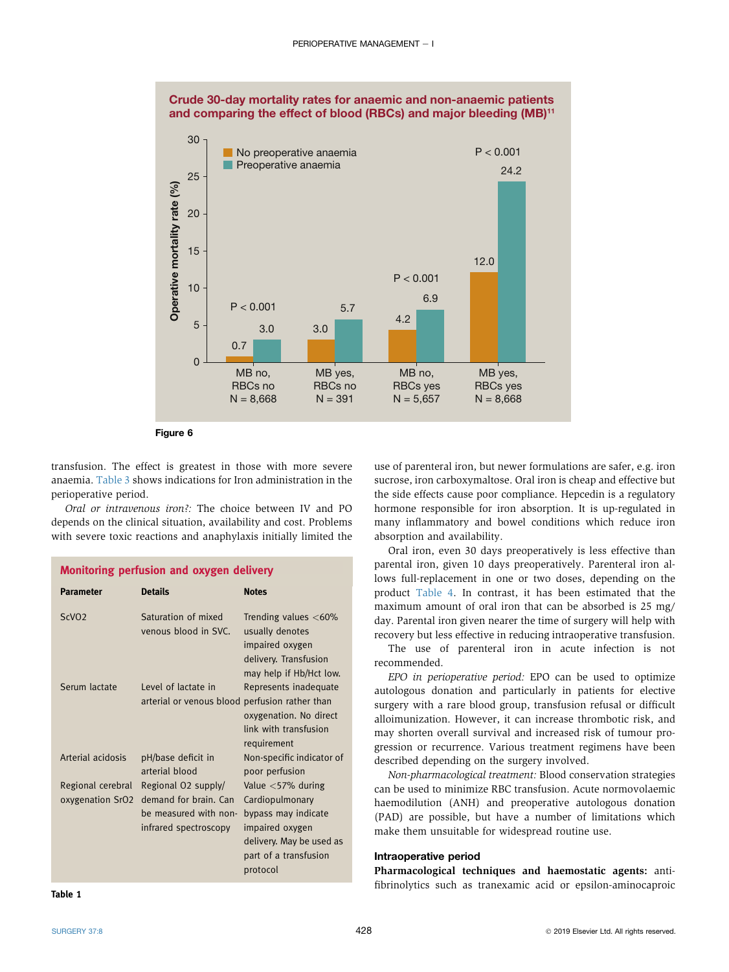<span id="page-4-0"></span>

Figure 6

transfusion. The effect is greatest in those with more severe anaemia. [Table 3](#page-5-0) shows indications for Iron administration in the perioperative period.

Oral or intravenous iron?: The choice between IV and PO depends on the clinical situation, availability and cost. Problems with severe toxic reactions and anaphylaxis initially limited the

# Monitoring perfusion and oxygen delivery

| <b>Parameter</b>                      | <b>Details</b>                                                                                 | <b>Notes</b>                                                                                                                                       |
|---------------------------------------|------------------------------------------------------------------------------------------------|----------------------------------------------------------------------------------------------------------------------------------------------------|
| ScVO <sub>2</sub>                     | Saturation of mixed<br>venous blood in SVC.                                                    | Trending values $<$ 60%<br>usually denotes<br>impaired oxygen<br>delivery. Transfusion<br>may help if Hb/Hct low.                                  |
| Serum lactate                         | Level of lactate in<br>arterial or venous blood perfusion rather than                          | Represents inadequate<br>oxygenation. No direct<br>link with transfusion<br>requirement                                                            |
| Arterial acidosis                     | pH/base deficit in<br>arterial blood                                                           | Non-specific indicator of<br>poor perfusion                                                                                                        |
| Regional cerebral<br>oxygenation SrO2 | Regional O2 supply/<br>demand for brain. Can<br>be measured with non-<br>infrared spectroscopy | Value $<$ 57% during<br>Cardiopulmonary<br>bypass may indicate<br>impaired oxygen<br>delivery. May be used as<br>part of a transfusion<br>protocol |

Table 1

use of parenteral iron, but newer formulations are safer, e.g. iron sucrose, iron carboxymaltose. Oral iron is cheap and effective but the side effects cause poor compliance. Hepcedin is a regulatory hormone responsible for iron absorption. It is up-regulated in many inflammatory and bowel conditions which reduce iron absorption and availability.

Oral iron, even 30 days preoperatively is less effective than parental iron, given 10 days preoperatively. Parenteral iron allows full-replacement in one or two doses, depending on the product [Table 4](#page-5-0). In contrast, it has been estimated that the maximum amount of oral iron that can be absorbed is 25 mg/ day. Parental iron given nearer the time of surgery will help with recovery but less effective in reducing intraoperative transfusion.

The use of parenteral iron in acute infection is not recommended.

EPO in perioperative period: EPO can be used to optimize autologous donation and particularly in patients for elective surgery with a rare blood group, transfusion refusal or difficult alloimunization. However, it can increase thrombotic risk, and may shorten overall survival and increased risk of tumour progression or recurrence. Various treatment regimens have been described depending on the surgery involved.

Non-pharmacological treatment: Blood conservation strategies can be used to minimize RBC transfusion. Acute normovolaemic haemodilution (ANH) and preoperative autologous donation (PAD) are possible, but have a number of limitations which make them unsuitable for widespread routine use.

# Intraoperative period

Pharmacological techniques and haemostatic agents: antifibrinolytics such as tranexamic acid or epsilon-aminocaproic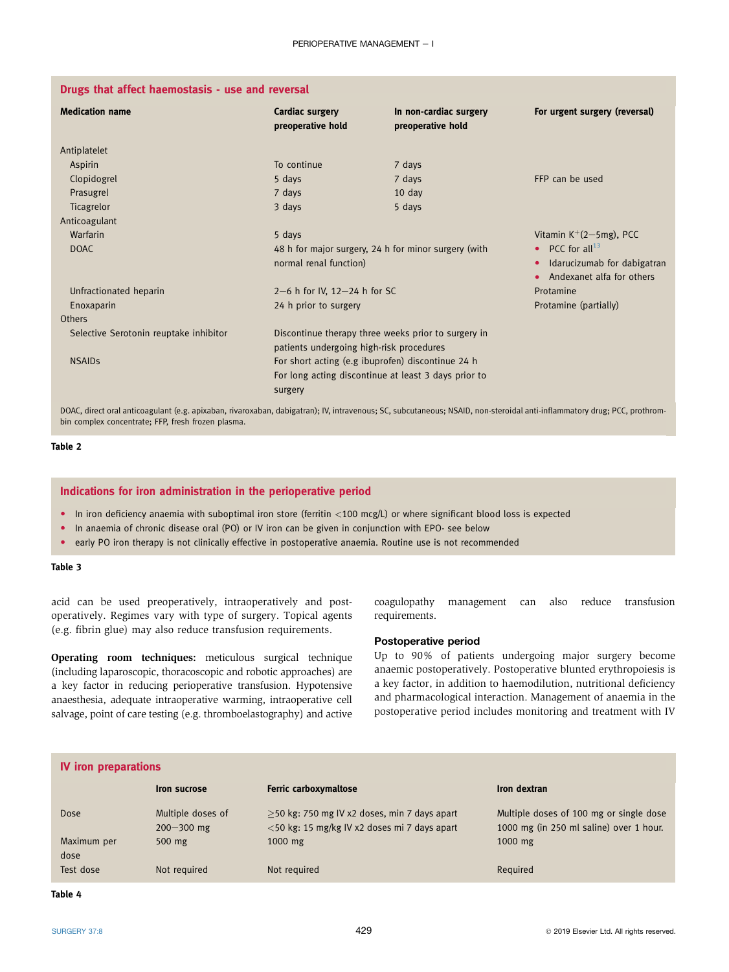<span id="page-5-0"></span>

| <b>Medication name</b>                 | Cardiac surgery<br>preoperative hold                 | In non-cardiac surgery<br>preoperative hold | For urgent surgery (reversal)            |
|----------------------------------------|------------------------------------------------------|---------------------------------------------|------------------------------------------|
| Antiplatelet                           |                                                      |                                             |                                          |
| Aspirin                                | To continue                                          | 7 days                                      |                                          |
| Clopidogrel                            | 5 days                                               | 7 days                                      | FFP can be used                          |
| Prasugrel                              | 7 days                                               | $10 \text{ day}$                            |                                          |
| Ticagrelor                             | 3 days                                               | 5 days                                      |                                          |
| Anticoagulant                          |                                                      |                                             |                                          |
| Warfarin                               | 5 days                                               |                                             | Vitamin $K^+(2-5mg)$ , PCC               |
| <b>DOAC</b>                            | 48 h for major surgery, 24 h for minor surgery (with |                                             | • PCC for all <sup>13</sup>              |
|                                        | normal renal function)                               |                                             | Idarucizumab for dabigatran<br>$\bullet$ |
|                                        |                                                      |                                             | Andexanet alfa for others<br>$\bullet$   |
| Unfractionated heparin                 | 2-6 h for IV, 12-24 h for SC                         |                                             | Protamine                                |
| Enoxaparin                             | 24 h prior to surgery                                |                                             | Protamine (partially)                    |
| Others                                 |                                                      |                                             |                                          |
| Selective Serotonin reuptake inhibitor | Discontinue therapy three weeks prior to surgery in  |                                             |                                          |
|                                        | patients undergoing high-risk procedures             |                                             |                                          |
| <b>NSAIDS</b>                          | For short acting (e.g ibuprofen) discontinue 24 h    |                                             |                                          |
|                                        | For long acting discontinue at least 3 days prior to |                                             |                                          |
|                                        | surgery                                              |                                             |                                          |

DOAC, direct oral anticoagulant (e.g. apixaban, rivaroxaban, dabigatran); IV, intravenous; SC, subcutaneous; NSAID, non-steroidal anti-inflammatory drug; PCC, prothrombin complex concentrate; FFP, fresh frozen plasma.

# Table 2

# Indications for iron administration in the perioperative period

- $\bullet$  In iron deficiency anaemia with suboptimal iron store (ferritin <100 mcg/L) or where significant blood loss is expected
- In anaemia of chronic disease oral (PO) or IV iron can be given in conjunction with EPO- see below
- early PO iron therapy is not clinically effective in postoperative anaemia. Routine use is not recommended

#### Table 3

acid can be used preoperatively, intraoperatively and postoperatively. Regimes vary with type of surgery. Topical agents (e.g. fibrin glue) may also reduce transfusion requirements.

Operating room techniques: meticulous surgical technique (including laparoscopic, thoracoscopic and robotic approaches) are a key factor in reducing perioperative transfusion. Hypotensive anaesthesia, adequate intraoperative warming, intraoperative cell salvage, point of care testing (e.g. thromboelastography) and active coagulopathy management can also reduce transfusion requirements.

#### Postoperative period

Up to 90% of patients undergoing major surgery become anaemic postoperatively. Postoperative blunted erythropoiesis is a key factor, in addition to haemodilution, nutritional deficiency and pharmacological interaction. Management of anaemia in the postoperative period includes monitoring and treatment with IV

| <b>IV</b> iron preparations |                                     |                                                                                                 |                                                                                    |  |  |
|-----------------------------|-------------------------------------|-------------------------------------------------------------------------------------------------|------------------------------------------------------------------------------------|--|--|
|                             | <b>Iron sucrose</b>                 | <b>Ferric carboxymaltose</b>                                                                    | Iron dextran                                                                       |  |  |
| Dose                        | Multiple doses of<br>$200 - 300$ mg | $>$ 50 kg: 750 mg IV x2 doses, min 7 days apart<br><50 kg: 15 mg/kg IV x2 doses mi 7 days apart | Multiple doses of 100 mg or single dose<br>1000 mg (in 250 ml saline) over 1 hour. |  |  |
| Maximum per<br>dose         | $500$ mg                            | $1000$ mg                                                                                       | $1000$ mg                                                                          |  |  |
| Test dose                   | Not required                        | Not required                                                                                    | Required                                                                           |  |  |

Table 4